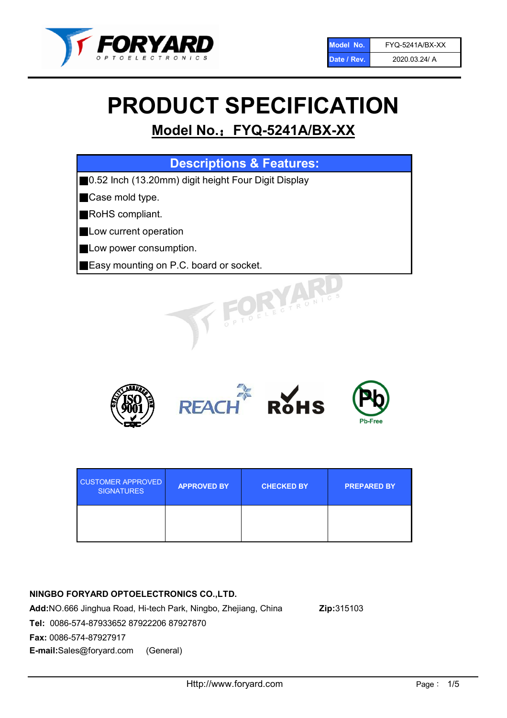

# PRODUCT SPECIFICATION

# Model No.: FYQ-5241A/BX-XX

| <b>Descriptions &amp; Features:</b>                  |
|------------------------------------------------------|
| ■0.52 Inch (13.20mm) digit height Four Digit Display |
| <b>Case mold type.</b>                               |
| RoHS compliant.                                      |
| <b>Low current operation</b>                         |
| <b>Low power consumption.</b>                        |
| Easy mounting on P.C. board or socket.               |
| OFLECTRONIC                                          |



| <b>CUSTOMER APPROVED</b><br><b>SIGNATURES</b> | <b>APPROVED BY</b> | <b>CHECKED BY</b> | <b>PREPARED BY</b> |
|-----------------------------------------------|--------------------|-------------------|--------------------|
|                                               |                    |                   |                    |

### NINGBO FORYARD OPTOELECTRONICS CO.,LTD.

Add:NO.666 Jinghua Road, Hi-tech Park, Ningbo, Zhejiang, China Zip:315103 Tel: 0086-574-87933652 87922206 87927870 Fax: 0086-574-87927917 E-mail:Sales@foryard.com (General)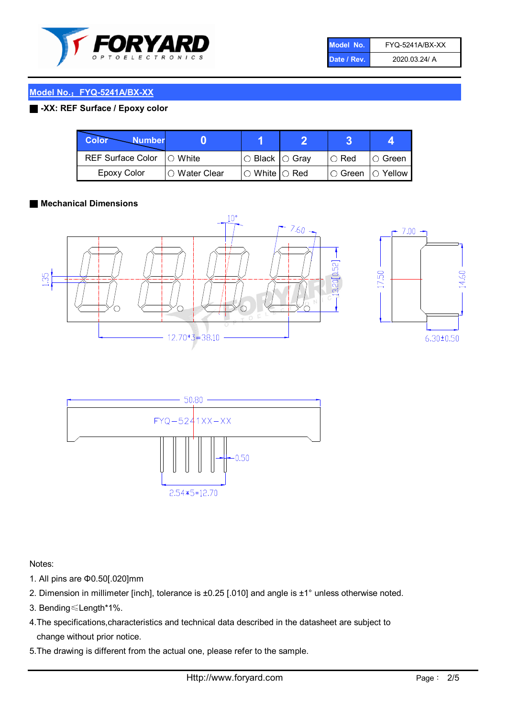

| Model No.   | <b>FYQ-5241A/BX-XX</b> |
|-------------|------------------------|
| Date / Rev. | 2020.03.24/ A          |

#### Model No.: FYQ-5241A/BX-XX

#### ■ -XX: REF Surface / Epoxy color

| <b>Color</b><br><b>Number</b> |                 |                            | ≏ |             |                |
|-------------------------------|-----------------|----------------------------|---|-------------|----------------|
| <b>REF Surface Color</b>      | $\Box$ White    | $\circ$ Black $\circ$ Gray |   | $\circ$ Red | $\circ$ Green  |
| <b>Epoxy Color</b>            | l ○ Water Clear | $\circ$ White $\circ$ Red  |   | I⊖ Green    | $\circ$ Yellow |

#### ■ Mechanical Dimensions







Notes:

- 1. All pins are Φ0.50[.020]mm
- 2. Dimension in millimeter [inch], tolerance is ±0.25 [.010] and angle is ±1° unless otherwise noted.
- 3. Bending≤Length\*1%.
- 4.The specifications,characteristics and technical data described in the datasheet are subject to change without prior notice.
- 5.The drawing is different from the actual one, please refer to the sample.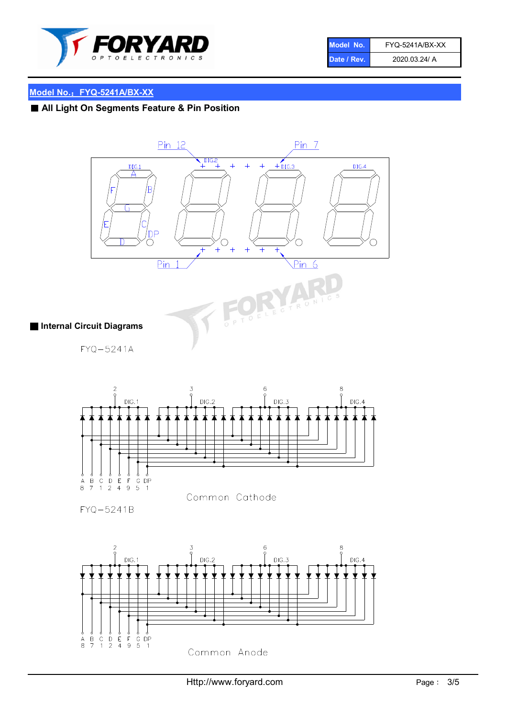

| Model No.   | FYQ-5241A/BX-XX |
|-------------|-----------------|
| Date / Rev. | 2020.03.24/ A   |

## Model No.: FYQ-5241A/BX-XX

# ■ All Light On Segments Feature & Pin Position



FYQ-5241A



FYQ-5241B

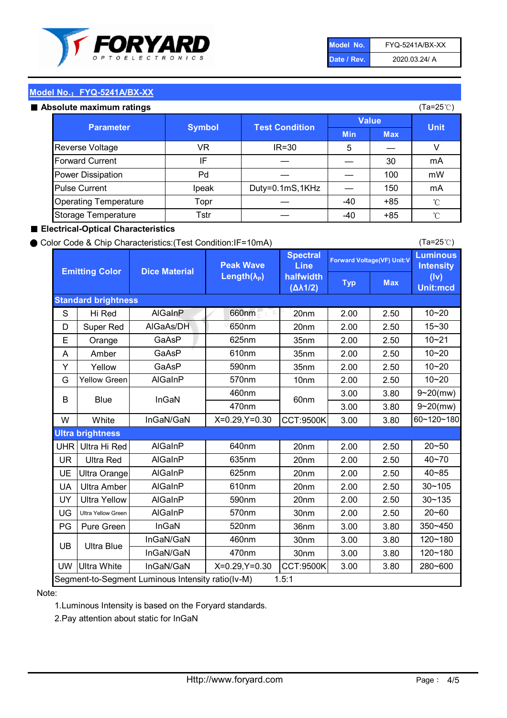

| Model No.   | <b>FYQ-5241A/BX-XX</b> |
|-------------|------------------------|
| Date / Rev. | 2020.03.24/ A          |

(Ta=25℃)

#### Model No.: FYQ-5241A/BX-XX

#### Absolute maximum

| solute maximum ratings       |               |                       |              |            | (Ta=25℃)    |
|------------------------------|---------------|-----------------------|--------------|------------|-------------|
| <b>Parameter</b>             | <b>Symbol</b> | <b>Test Condition</b> | <b>Value</b> |            |             |
|                              |               |                       | <b>Min</b>   | <b>Max</b> | <b>Unit</b> |
| Reverse Voltage              | VR            | $IR = 30$             | 5            |            |             |
| <b>Forward Current</b>       | ΙF            |                       |              | 30         | mA          |
| Power Dissipation            | Pd            |                       |              | 100        | mW          |
| <b>Pulse Current</b>         | Ipeak         | Duty=0.1mS,1KHz       |              | 150        | mA          |
| <b>Operating Temperature</b> | Topr          |                       | $-40$        | $+85$      | °C          |
| Storage Temperature          | Tstr          |                       | $-40$        | $+85$      | °C          |

#### ■ Electrical-Optical Characteristics

#### ● Color Code & Chip Characteristics:(Test Condition:IF=10mA)

Typ Max S | Hi $\textsf{Red}$  | AlGaInP | 660nm LE 20nm | 2.00 | 2.50 D | Super Red | AIGaAs/DH | 650nm | 20nm | 2.00 | 2.50 E | Orange | GaAsP | 625nm | 35nm | 2.00 | 2.50 A | Amber | GaAsP | 610nm | 35nm | 2.00 | 2.50 Y | Yellow | GaAsP | 590nm | 35nm | 2.00 | 2.50 G Yellow Green AIGaInP | 570nm | 10nm | 2.00 | 2.50 3.00 3.80 3.00 3.80 W | White | InGaN/GaN | X=0.29,Y=0.30 |CCT:9500K| 3.00 | 3.80 UHR Ultra Hi Red | AlGaInP | 640nm | 20nm | 2.00 | 2.50 UR | Ultra Red | AlGaInP | 635nm | 20nm | 2.00 | 2.50 UE Ultra Orange | AIGaInP | 625nm | 20nm | 2.00 | 2.50 UA Ultra Amber | AIGaInP | 610nm | 20nm | 2.00 | 2.50  $UV$  Ultra Yellow  $\vert$  AlGaInP  $\vert$  590nm  $\vert$  20nm  $\vert$  2.00  $\vert$  2.50  $\text{UG}$  Ultra Yellow Green | AIGaInP | 570nm | 30nm | 2.00 | 2.50 PG Pure Green | InGaN | 520nm | 36nm | 3.00 | 3.80 30nm 3.00 3.80 30nm 3.00 3.80 UW |Ultra White | InGaN/GaN | X=0.29,Y=0.30 |CCT:9500K| 3.00 | 3.80 40~85 60~120~180 40~70 Segment-to-Segment Luminous Intensity ratio(Iv-M) 1.5:1 610nm 9~20(mw) 350~450 470nm 120~180 120~180 Ultra Blue InGaN/GaN InGaN/GaN 9~20(mw) 20~50 280~600 570nm | 30nm | 2.00 | 2.50 | 20~60 470nm 590nm InGaN/GaN B Blue I InGaN 570nm | 10nm | 2.00 | 2.50 | 10~20 30~105 30~135 460nm 520nm Ultra brightness **AlGaInP** AlGaInP 60nm AlGaInP 640nm Peak Wave Length $(\lambda_{\rm P})$ UB 460nm 635nm AlGaInP AlGaInP AlGaInP InGaN/GaN AlGaInP 10~20 Luminous **Intensity** (Iv) Unit:mcd AlGainP 660nm GaAsP GaAsP AlGaAs/DH **Spectral** Line halfwidth (∆λ1/2) 10~20 Standard brightness Forward Voltage(VF) Unit:V 15~30 10~20 625nm GaAsP 590nm **Emitting Color Dice Material** 10~21 610nm

#### Note:

1.Luminous Intensity is based on the Foryard standards.

2.Pay attention about static for InGaN